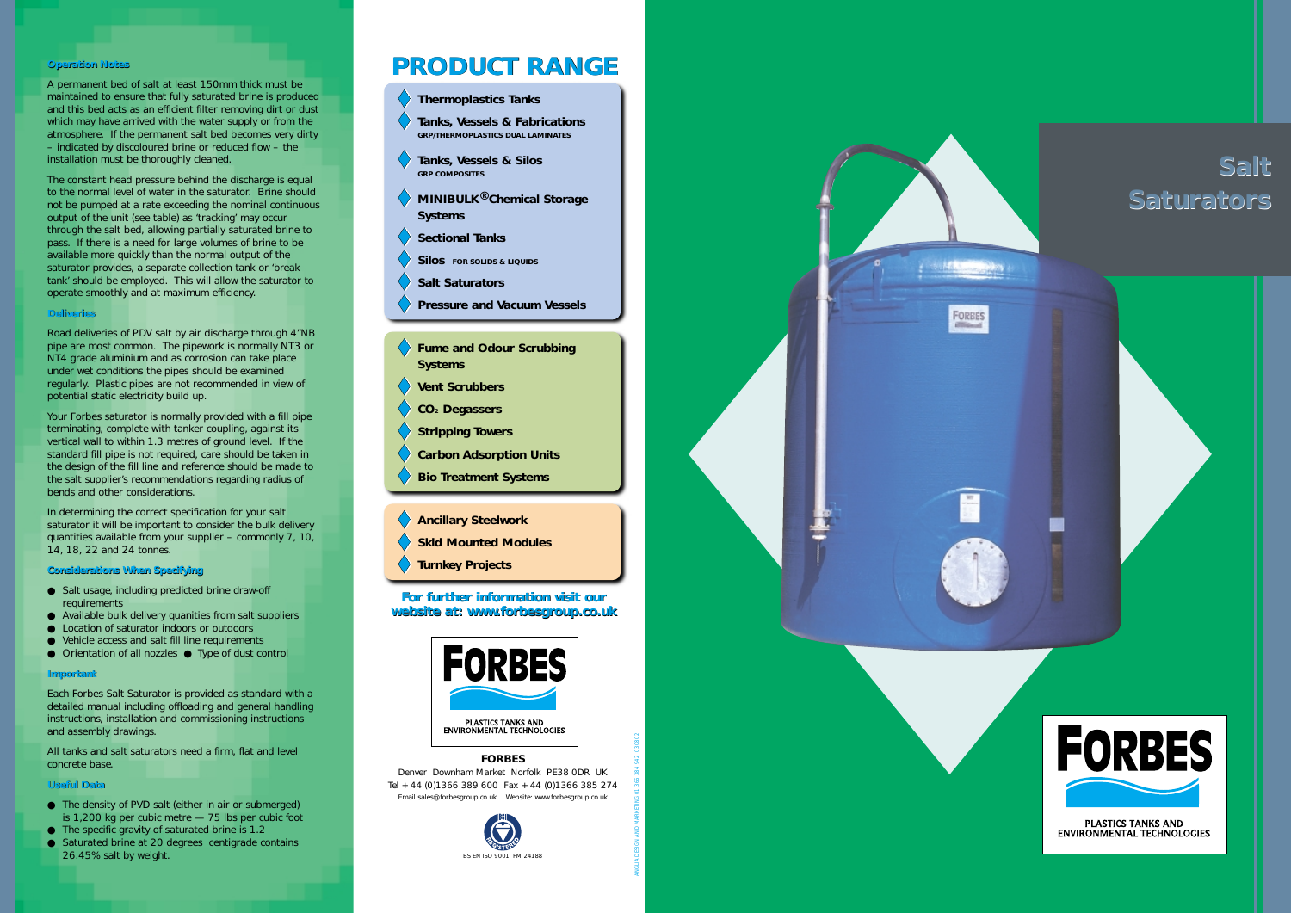#### **Operation Notes Notes**

A permanent bed of salt at least 150mm thick must be maintained to ensure that fully saturated brine is produced and this bed acts as an efficient filter removing dirt or dust which may have arrived with the water supply or from the atmosphere. If the permanent salt bed becomes very dirty – indicated by discoloured brine or reduced flow – the installation must be thoroughly cleaned.

#### **Deliveries Deliveries**

The constant head pressure behind the discharge is equal to the normal level of water in the saturator. Brine should not be pumped at a rate exceeding the nominal continuous output of the unit (see table) as 'tracking' may occur through the salt bed, allowing partially saturated brine to pass. If there is a need for large volumes of brine to be available more quickly than the normal output of the saturator provides, a separate collection tank or 'break tank' should be employed. This will allow the saturator to operate smoothly and at maximum efficiency.

#### **Considerations When Specifying Considerations When Specifying**

- Salt usage, including predicted brine draw-off requirements
- Available bulk delivery quanities from salt suppliers
- Location of saturator indoors or outdoors
- Vehicle access and salt fill line requirements
- Orientation of all nozzles Type of dust control

### **Important Important**

Road deliveries of PDV salt by air discharge through 4"NB pipe are most common. The pipework is normally NT3 or NT4 grade aluminium and as corrosion can take place under wet conditions the pipes should be examined regularly. Plastic pipes are not recommended in view of potential static electricity build up.

### **Useful Data Useful Data**

Your Forbes saturator is normally provided with a fill pipe terminating, complete with tanker coupling, against its vertical wall to within 1.3 metres of ground level. If the standard fill pipe is not required, care should be taken in the design of the fill line and reference should be made to the salt supplier's recommendations regarding radius of bends and other considerations.

- **Thermoplastics Tanks**
- **Tanks, Vessels & Fabrications GRP/THERMOPLASTICS DUAL LAMINATES**
- **Tanks, Vessels & Silos GRP COMPOSITES**
- **MINIBULK ® Chemical Storage Systems**
- **Sectional Tanks**
- **Silos FOR SOLIDS & LIQUIDS**
- **Salt Saturators**
- **Pressure and Vacuum Vessels**
- **Fume and Odour Scrubbing Systems**
- **Vent Scrubbers**
- **CO2 Degassers**
- **Stripping Towers**
- **Carbon Adsorption Units**
- **Bio Treatment Systems**
- **Ancillary Steelwork**
- **Skid Mounted Modules**
- **Turnkey Projects**

In determining the correct specification for your salt saturator it will be important to consider the bulk delivery quantities available from your supplier – commonly 7, 10, 14, 18, 22 and 24 tonnes.

Each Forbes Salt Saturator is provided as standard with a detailed manual including offloading and general handling instructions, installation and commissioning instructions and assembly drawings.

All tanks and salt saturators need a firm, flat and level concrete base.

- The density of PVD salt (either in air or submerged) is 1,200 kg per cubic metre — 75 lbs per cubic foot
- The specific gravity of saturated brine is 1.2
- Saturated brine at 20 degrees centigrade contains 26.45% salt by weight.

# **PRODUCT RANGE**

ANGLIA DESIGN AND MARKETING 01 366 384 942 030802

#### **FORBES**

Denver Downham Market Norfolk PE38 0DR UK Tel +44 (0)1366 389 600 Fax +44 (0)1366 385 274 Email sales@forbesgroup.co.uk Website: www.forbesgroup.co.uk

### **For further information visit our For further information visit our website at: www.forbesgroup.co.uk**







## **Salt Salt Saturators**



PLASTICS TANKS AND ENVIRONMENTAL TECHNOLOGIES